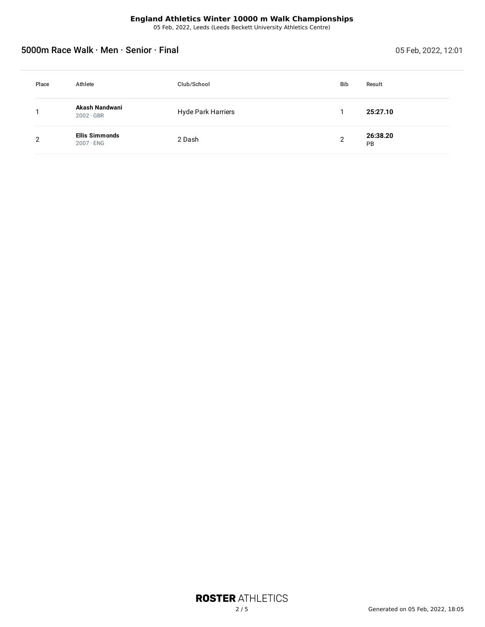05 Feb, 2022, Leeds (Leeds Beckett University Athletics Centre)

# 5000m Race Walk · Men · Senior · Final intervention of the contract of the contract of Feb, 2022, 12:01

| Place | Athlete                                   | Club/School               | <b>Bib</b>     | Result         |
|-------|-------------------------------------------|---------------------------|----------------|----------------|
|       | Akash Nandwani<br>$2002 \cdot GBR$        | <b>Hyde Park Harriers</b> |                | 25:27.10       |
| റ     | <b>Ellis Simmonds</b><br>$2007 \cdot$ ENG | 2 Dash                    | $\overline{2}$ | 26:38.20<br>PB |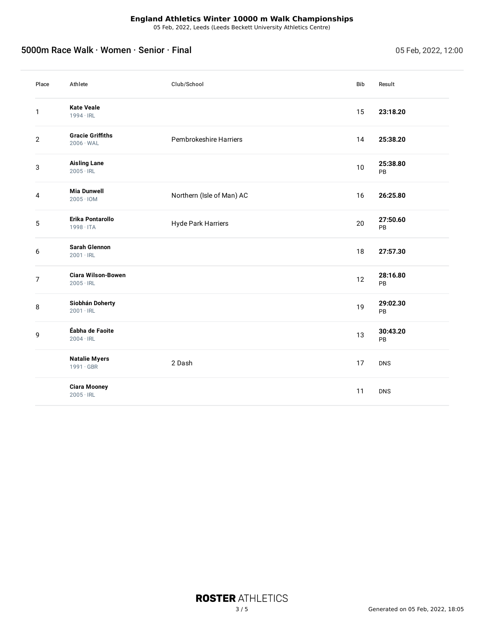05 Feb, 2022, Leeds (Leeds Beckett University Athletics Centre)

# 5000m Race Walk · Women · Senior · Final 05 Feb, 2022, 12:00

| Place            | Athlete                                            | Club/School               | Bib | Result         |
|------------------|----------------------------------------------------|---------------------------|-----|----------------|
| 1                | <b>Kate Veale</b><br>$1994 \cdot IRL$              |                           | 15  | 23:18.20       |
| $\mathbf{2}$     | <b>Gracie Griffiths</b><br>$2006 \cdot \text{WAL}$ | Pembrokeshire Harriers    | 14  | 25:38.20       |
| 3                | <b>Aisling Lane</b><br>$2005 \cdot IRL$            |                           | 10  | 25:38.80<br>PB |
| 4                | <b>Mia Dunwell</b><br>$2005 \cdot 10M$             | Northern (Isle of Man) AC | 16  | 26:25.80       |
| 5                | Erika Pontarollo<br>$1998 \cdot ITA$               | <b>Hyde Park Harriers</b> | 20  | 27:50.60<br>PB |
| 6                | <b>Sarah Glennon</b><br>$2001 \cdot IRL$           |                           | 18  | 27:57.30       |
| $\boldsymbol{7}$ | <b>Ciara Wilson-Bowen</b><br>$2005 \cdot IRL$      |                           | 12  | 28:16.80<br>PB |
| 8                | Siobhán Doherty<br>$2001 \cdot IRL$                |                           | 19  | 29:02.30<br>PB |
| 9                | Éabha de Faoite<br>$2004 \cdot IRL$                |                           | 13  | 30:43.20<br>PB |
|                  | <b>Natalie Myers</b><br>$1991 \cdot GBR$           | 2 Dash                    | 17  | <b>DNS</b>     |
|                  | <b>Ciara Mooney</b><br>$2005 \cdot IRL$            |                           | 11  | <b>DNS</b>     |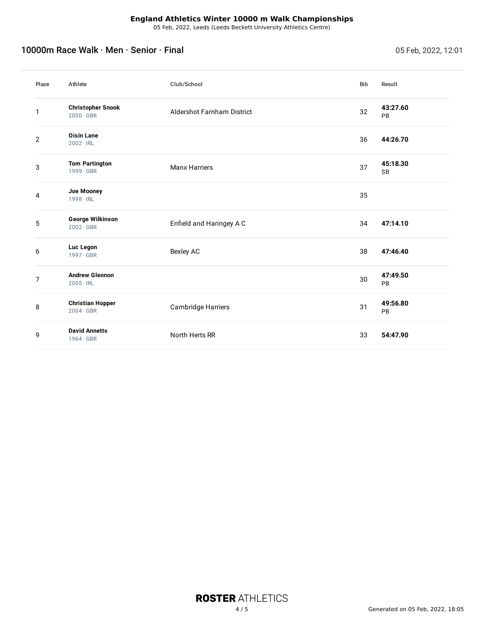05 Feb, 2022, Leeds (Leeds Beckett University Athletics Centre)

# 10000m Race Walk · Men · Senior · Final intervention of the contract of the CO22, 12:01

| Place          | Athlete                                      | Club/School                       | Bib | Result                |
|----------------|----------------------------------------------|-----------------------------------|-----|-----------------------|
| 1              | <b>Christopher Snook</b><br>$2000 \cdot GBR$ | <b>Aldershot Farnham District</b> | 32  | 43:27.60<br>PB        |
| $\overline{2}$ | <b>Oisín Lane</b><br>$2002 \cdot IRL$        |                                   | 36  | 44:26.70              |
| 3              | <b>Tom Partington</b><br>$1999 \cdot GBR$    | <b>Manx Harriers</b>              | 37  | 45:18.30<br><b>SB</b> |
| 4              | Joe Mooney<br>$1998 \cdot IRL$               |                                   | 35  |                       |
| 5              | <b>George Wilkinson</b><br>$2002 \cdot GBR$  | Enfield and Haringey A C          | 34  | 47:14.10              |
| 6              | Luc Legon<br>$1997 \cdot GBR$                | Bexley AC                         | 38  | 47:46.40              |
| 7              | <b>Andrew Glennon</b><br>$2005 \cdot IRL$    |                                   | 30  | 47:49.50<br>PB        |
| 8              | <b>Christian Hopper</b><br>$2004 \cdot GBR$  | Cambridge Harriers                | 31  | 49:56.80<br>PB        |
| 9              | <b>David Annetts</b><br>$1964 \cdot GBR$     | North Herts RR                    | 33  | 54:47.90              |